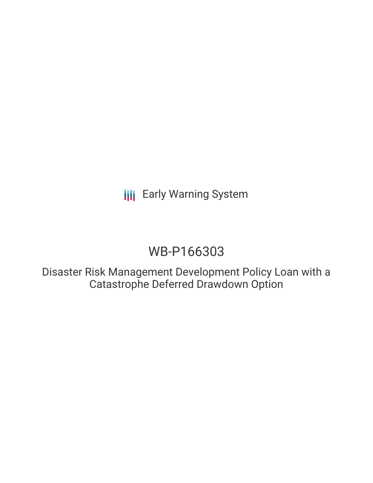# WB-P166303

Disaster Risk Management Development Policy Loan with a Catastrophe Deferred Drawdown Option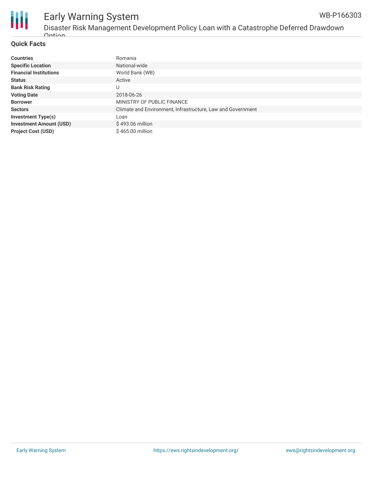

# Disaster Risk Management Development Policy Loan with a Catastrophe Deferred Drawdown **Ontion**

## **Quick Facts**

| <b>Countries</b>               | Romania                                                     |
|--------------------------------|-------------------------------------------------------------|
| <b>Specific Location</b>       | National-wide                                               |
| <b>Financial Institutions</b>  | World Bank (WB)                                             |
| <b>Status</b>                  | Active                                                      |
| <b>Bank Risk Rating</b>        | U                                                           |
| <b>Voting Date</b>             | 2018-06-26                                                  |
| <b>Borrower</b>                | MINISTRY OF PUBLIC FINANCE                                  |
| <b>Sectors</b>                 | Climate and Environment, Infrastructure, Law and Government |
| <b>Investment Type(s)</b>      | Loan                                                        |
| <b>Investment Amount (USD)</b> | \$493.06 million                                            |
| <b>Project Cost (USD)</b>      | $$465.00$ million                                           |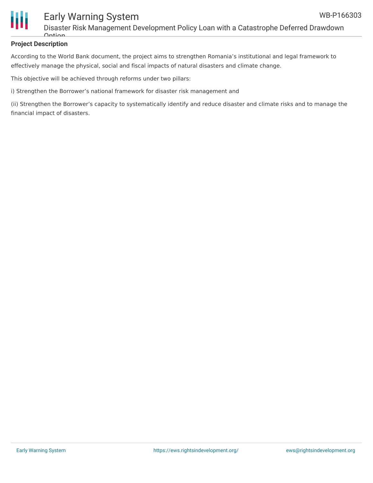

Disaster Risk Management Development Policy Loan with a Catastrophe Deferred Drawdown  $Antion$ 

## **Project Description**

According to the World Bank document, the project aims to strengthen Romania's institutional and legal framework to effectively manage the physical, social and fiscal impacts of natural disasters and climate change.

This objective will be achieved through reforms under two pillars:

i) Strengthen the Borrower's national framework for disaster risk management and

(ii) Strengthen the Borrower's capacity to systematically identify and reduce disaster and climate risks and to manage the financial impact of disasters.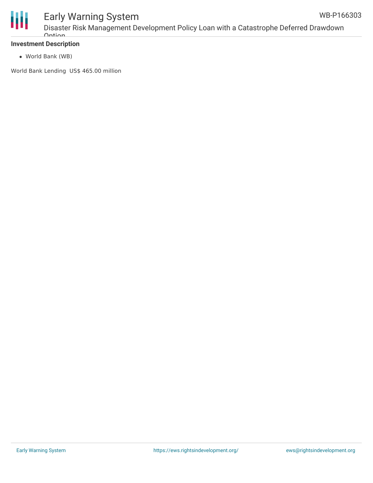

Disaster Risk Management Development Policy Loan with a Catastrophe Deferred Drawdown **Ontion** 

## **Investment Description**

World Bank (WB)

World Bank Lending US\$ 465.00 million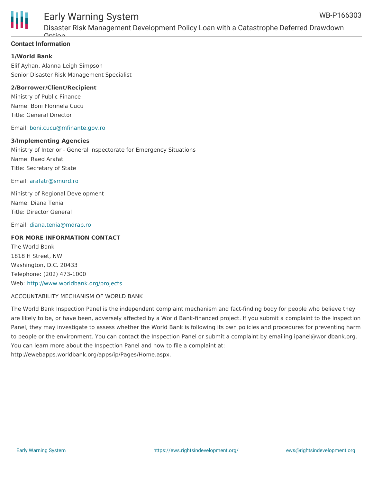

Disaster Risk Management Development Policy Loan with a Catastrophe Deferred Drawdown Option

# **Contact Information**

#### **1/World Bank**

Elif Ayhan, Alanna Leigh Simpson Senior Disaster Risk Management Specialist

### **2/Borrower/Client/Recipient**

Ministry of Public Finance Name: Boni Florinela Cucu Title: General Director

#### Email: [boni.cucu@mfinante.gov.ro](mailto:boni.cucu@mfinante.gov.ro)

#### **3/Implementing Agencies**

Ministry of Interior - General Inspectorate for Emergency Situations Name: Raed Arafat Title: Secretary of State

Email: [arafatr@smurd.ro](mailto:arafatr@smurd.ro)

Ministry of Regional Development Name: Diana Tenia Title: Director General

Email: [diana.tenia@mdrap.ro](mailto:diana.tenia@mdrap.ro)

#### **FOR MORE INFORMATION CONTACT**

The World Bank 1818 H Street, NW Washington, D.C. 20433 Telephone: (202) 473-1000 Web: <http://www.worldbank.org/projects>

#### ACCOUNTABILITY MECHANISM OF WORLD BANK

The World Bank Inspection Panel is the independent complaint mechanism and fact-finding body for people who believe they are likely to be, or have been, adversely affected by a World Bank-financed project. If you submit a complaint to the Inspection Panel, they may investigate to assess whether the World Bank is following its own policies and procedures for preventing harm to people or the environment. You can contact the Inspection Panel or submit a complaint by emailing ipanel@worldbank.org. You can learn more about the Inspection Panel and how to file a complaint at: http://ewebapps.worldbank.org/apps/ip/Pages/Home.aspx.